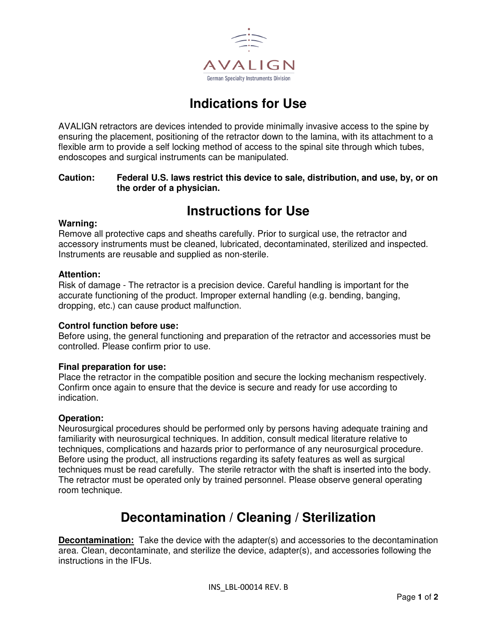

# **Indications for Use**

AVALIGN retractors are devices intended to provide minimally invasive access to the spine by ensuring the placement, positioning of the retractor down to the lamina, with its attachment to a flexible arm to provide a self locking method of access to the spinal site through which tubes, endoscopes and surgical instruments can be manipulated.

## **Caution: Federal U.S. laws restrict this device to sale, distribution, and use, by, or on the order of a physician.**

# **Instructions for Use**

### **Warning:**

Remove all protective caps and sheaths carefully. Prior to surgical use, the retractor and accessory instruments must be cleaned, lubricated, decontaminated, sterilized and inspected. Instruments are reusable and supplied as non-sterile.

### **Attention:**

Risk of damage - The retractor is a precision device. Careful handling is important for the accurate functioning of the product. Improper external handling (e.g. bending, banging, dropping, etc.) can cause product malfunction.

#### **Control function before use:**

Before using, the general functioning and preparation of the retractor and accessories must be controlled. Please confirm prior to use.

## **Final preparation for use:**

Place the retractor in the compatible position and secure the locking mechanism respectively. Confirm once again to ensure that the device is secure and ready for use according to indication.

#### **Operation:**

Neurosurgical procedures should be performed only by persons having adequate training and familiarity with neurosurgical techniques. In addition, consult medical literature relative to techniques, complications and hazards prior to performance of any neurosurgical procedure. Before using the product, all instructions regarding its safety features as well as surgical techniques must be read carefully. The sterile retractor with the shaft is inserted into the body. The retractor must be operated only by trained personnel. Please observe general operating room technique.

## **Decontamination / Cleaning / Sterilization**

**Decontamination:** Take the device with the adapter(s) and accessories to the decontamination area. Clean, decontaminate, and sterilize the device, adapter(s), and accessories following the instructions in the IFUs.